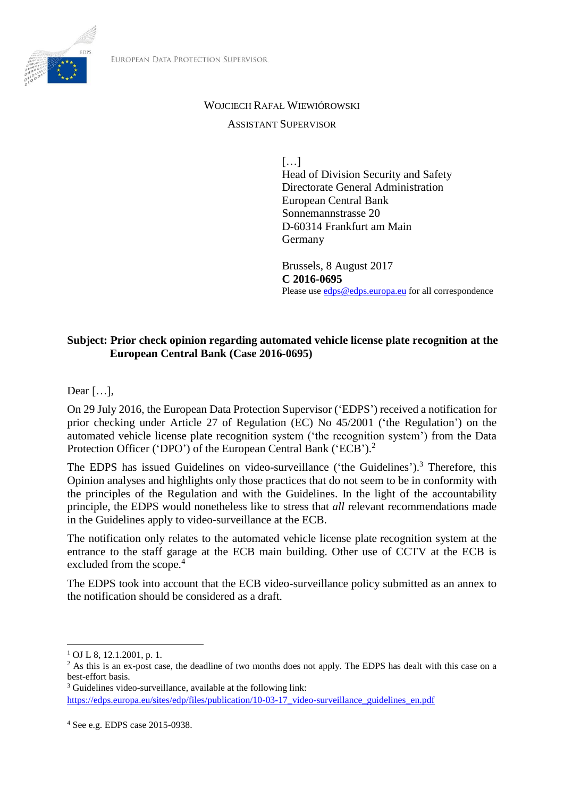

#### WOJCIECH RAFAŁ WIEWIÓROWSKI

#### ASSISTANT SUPERVISOR

 $[\dots]$ Head of Division Security and Safety Directorate General Administration European Central Bank Sonnemannstrasse 20 D-60314 Frankfurt am Main Germany

Brussels, 8 August 2017 **C 2016-0695** Please us[e edps@edps.europa.eu](mailto:edps@edps.europa.eu) for all correspondence

### **Subject: Prior check opinion regarding automated vehicle license plate recognition at the European Central Bank (Case 2016-0695)**

Dear […],

On 29 July 2016, the European Data Protection Supervisor ('EDPS') received a notification for prior checking under Article 27 of Regulation (EC) No 45/2001 ('the Regulation') on the automated vehicle license plate recognition system ('the recognition system') from the Data Protection Officer ('DPO') of the European Central Bank ('ECB').<sup>2</sup>

The EDPS has issued Guidelines on video-surveillance ('the Guidelines').<sup>3</sup> Therefore, this Opinion analyses and highlights only those practices that do not seem to be in conformity with the principles of the Regulation and with the Guidelines. In the light of the accountability principle, the EDPS would nonetheless like to stress that *all* relevant recommendations made in the Guidelines apply to video-surveillance at the ECB.

The notification only relates to the automated vehicle license plate recognition system at the entrance to the staff garage at the ECB main building. Other use of CCTV at the ECB is excluded from the scope.<sup>4</sup>

The EDPS took into account that the ECB video-surveillance policy submitted as an annex to the notification should be considered as a draft.

 $\overline{\phantom{a}}$ 

<sup>1</sup> OJ L 8, 12.1.2001, p. 1.

<sup>&</sup>lt;sup>2</sup> As this is an ex-post case, the deadline of two months does not apply. The EDPS has dealt with this case on a best-effort basis.

<sup>3</sup> Guidelines video-surveillance, available at the following link:

[https://edps.europa.eu/sites/edp/files/publication/10-03-17\\_video-surveillance\\_guidelines\\_en.pdf](https://edps.europa.eu/sites/edp/files/publication/10-03-17_video-surveillance_guidelines_en.pdf)

<sup>4</sup> See e.g. EDPS case 2015-0938.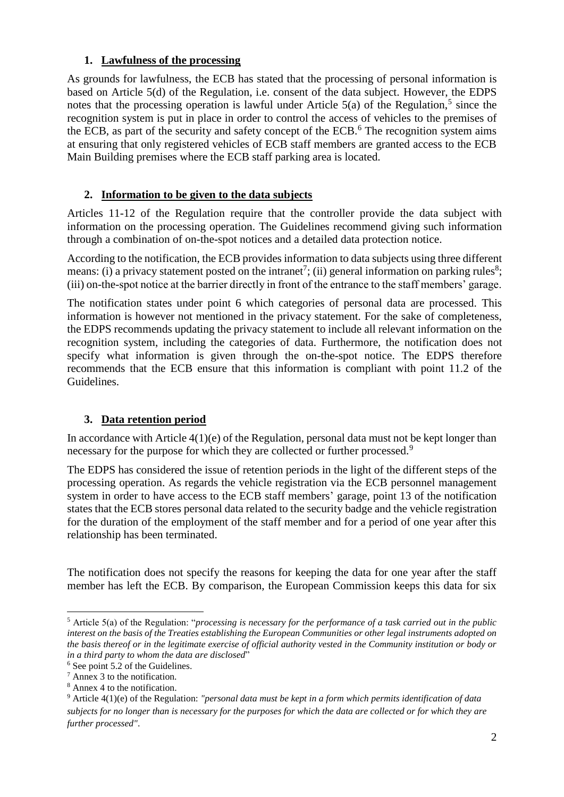### **1. Lawfulness of the processing**

As grounds for lawfulness, the ECB has stated that the processing of personal information is based on Article 5(d) of the Regulation, i.e. consent of the data subject. However, the EDPS notes that the processing operation is lawful under Article  $5(a)$  of the Regulation,<sup>5</sup> since the recognition system is put in place in order to control the access of vehicles to the premises of the ECB, as part of the security and safety concept of the ECB.<sup>6</sup> The recognition system aims at ensuring that only registered vehicles of ECB staff members are granted access to the ECB Main Building premises where the ECB staff parking area is located.

## **2. Information to be given to the data subjects**

Articles 11-12 of the Regulation require that the controller provide the data subject with information on the processing operation. The Guidelines recommend giving such information through a combination of on-the-spot notices and a detailed data protection notice.

According to the notification, the ECB provides information to data subjects using three different means: (i) a privacy statement posted on the intranet<sup>7</sup>; (ii) general information on parking rules<sup>8</sup>; (iii) on-the-spot notice at the barrier directly in front of the entrance to the staff members' garage.

The notification states under point 6 which categories of personal data are processed. This information is however not mentioned in the privacy statement. For the sake of completeness, the EDPS recommends updating the privacy statement to include all relevant information on the recognition system, including the categories of data. Furthermore, the notification does not specify what information is given through the on-the-spot notice. The EDPS therefore recommends that the ECB ensure that this information is compliant with point 11.2 of the Guidelines.

# **3. Data retention period**

In accordance with Article 4(1)(e) of the Regulation, personal data must not be kept longer than necessary for the purpose for which they are collected or further processed.<sup>9</sup>

The EDPS has considered the issue of retention periods in the light of the different steps of the processing operation. As regards the vehicle registration via the ECB personnel management system in order to have access to the ECB staff members' garage, point 13 of the notification states that the ECB stores personal data related to the security badge and the vehicle registration for the duration of the employment of the staff member and for a period of one year after this relationship has been terminated.

The notification does not specify the reasons for keeping the data for one year after the staff member has left the ECB. By comparison, the European Commission keeps this data for six

 $\overline{\phantom{a}}$ <sup>5</sup> Article 5(a) of the Regulation: "*processing is necessary for the performance of a task carried out in the public interest on the basis of the Treaties establishing the European Communities or other legal instruments adopted on the basis thereof or in the legitimate exercise of official authority vested in the Community institution or body or in a third party to whom the data are disclosed*"

<sup>6</sup> See point 5.2 of the Guidelines.

<sup>7</sup> Annex 3 to the notification.

<sup>8</sup> Annex 4 to the notification.

<sup>9</sup> Article 4(1)(e) of the Regulation: *"personal data must be kept in a form which permits identification of data subjects for no longer than is necessary for the purposes for which the data are collected or for which they are further processed"*.